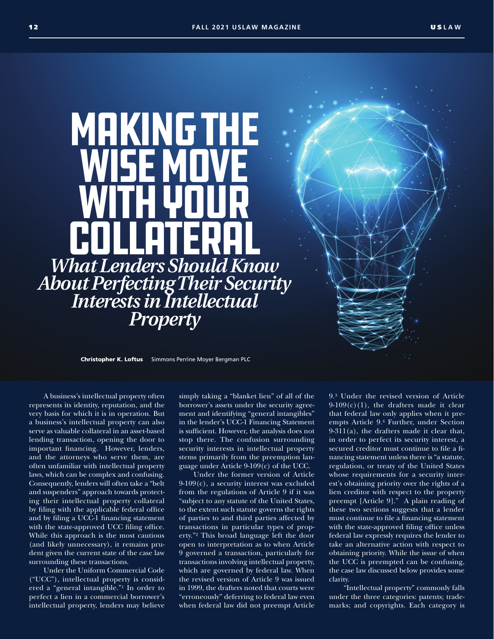Making the WISE MOVE WITH YOUR **COLLATERAL** *What Lenders Should Know About Perfecting Their Security Interests in Intellectual Property*

Christopher K. Loftus Simmons Perrine Moyer Bergman PLC

A business's intellectual property often represents its identity, reputation, and the very basis for which it is in operation. But a business's intellectual property can also serve as valuable collateral in an asset-based lending transaction, opening the door to important financing. However, lenders, and the attorneys who serve them, are often unfamiliar with intellectual property laws, which can be complex and confusing. Consequently, lenders will often take a "belt and suspenders" approach towards protecting their intellectual property collateral by filing with the applicable federal office and by filing a UCC-1 financing statement with the state-approved UCC filing office. While this approach is the most cautious (and likely unnecessary), it remains prudent given the current state of the case law surrounding these transactions.

Under the Uniform Commercial Code ("UCC"), intellectual property is considered a "general intangible."1 In order to perfect a lien in a commercial borrower's intellectual property, lenders may believe simply taking a "blanket lien" of all of the borrower's assets under the security agreement and identifying "general intangibles" in the lender's UCC-1 Financing Statement is sufficient. However, the analysis does not stop there. The confusion surrounding security interests in intellectual property stems primarily from the preemption language under Article 9-109(c) of the UCC.

Under the former version of Article 9-109(c), a security interest was excluded from the regulations of Article 9 if it was "subject to any statute of the United States, to the extent such statute governs the rights of parties to and third parties affected by transactions in particular types of property."2 This broad language left the door open to interpretation as to when Article 9 governed a transaction, particularly for transactions involving intellectual property, which are governed by federal law. When the revised version of Article 9 was issued in 1999, the drafters noted that courts were "erroneously" deferring to federal law even when federal law did not preempt Article 9.3 Under the revised version of Article  $9-109(c)(1)$ , the drafters made it clear that federal law only applies when it preempts Article 9.4 Further, under Section  $9-311(a)$ , the drafters made it clear that, in order to perfect its security interest, a secured creditor must continue to file a financing statement unless there is "a statute, regulation, or treaty of the United States whose requirements for a security interest's obtaining priority over the rights of a lien creditor with respect to the property preempt [Article 9]." A plain reading of these two sections suggests that a lender must continue to file a financing statement with the state-approved filing office unless federal law expressly requires the lender to take an alternative action with respect to obtaining priority. While the issue of when the UCC is preempted can be confusing, the case law discussed below provides some clarity.

"Intellectual property" commonly falls under the three categories: patents; trademarks; and copyrights. Each category is